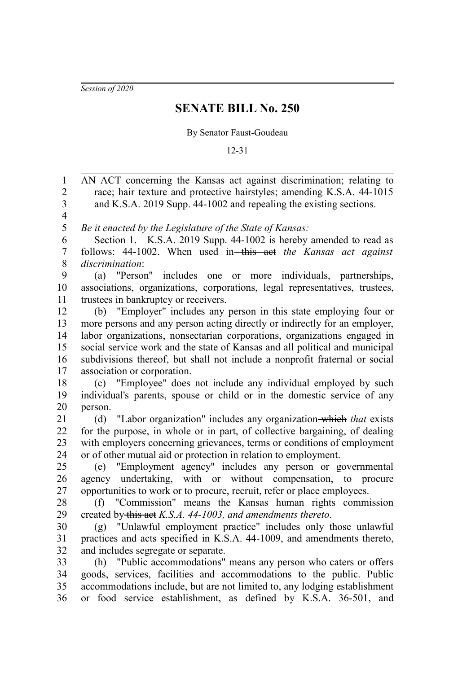*Session of 2020*

## **SENATE BILL No. 250**

## By Senator Faust-Goudeau

## 12-31

AN ACT concerning the Kansas act against discrimination; relating to race; hair texture and protective hairstyles; amending K.S.A. 44-1015 and K.S.A. 2019 Supp. 44-1002 and repealing the existing sections. *Be it enacted by the Legislature of the State of Kansas:* Section 1. K.S.A. 2019 Supp. 44-1002 is hereby amended to read as follows: 44-1002. When used in this act *the Kansas act against discrimination*: (a) "Person" includes one or more individuals, partnerships, associations, organizations, corporations, legal representatives, trustees, trustees in bankruptcy or receivers. (b) "Employer" includes any person in this state employing four or more persons and any person acting directly or indirectly for an employer, labor organizations, nonsectarian corporations, organizations engaged in social service work and the state of Kansas and all political and municipal subdivisions thereof, but shall not include a nonprofit fraternal or social association or corporation. (c) "Employee" does not include any individual employed by such individual's parents, spouse or child or in the domestic service of any person. (d) "Labor organization" includes any organization which *that* exists for the purpose, in whole or in part, of collective bargaining, of dealing with employers concerning grievances, terms or conditions of employment or of other mutual aid or protection in relation to employment. (e) "Employment agency" includes any person or governmental agency undertaking, with or without compensation, to procure opportunities to work or to procure, recruit, refer or place employees. (f) "Commission" means the Kansas human rights commission created by this act *K.S.A. 44-1003, and amendments thereto*. (g) "Unlawful employment practice" includes only those unlawful practices and acts specified in K.S.A. 44-1009, and amendments thereto, and includes segregate or separate. (h) "Public accommodations" means any person who caters or offers goods, services, facilities and accommodations to the public. Public accommodations include, but are not limited to, any lodging establishment or food service establishment, as defined by K.S.A. 36-501, and 1 2 3 4 5 6 7 8 9 10 11 12 13 14 15 16 17 18 19 20 21 22 23 24 25 26 27 28  $29$ 30 31 32 33 34 35 36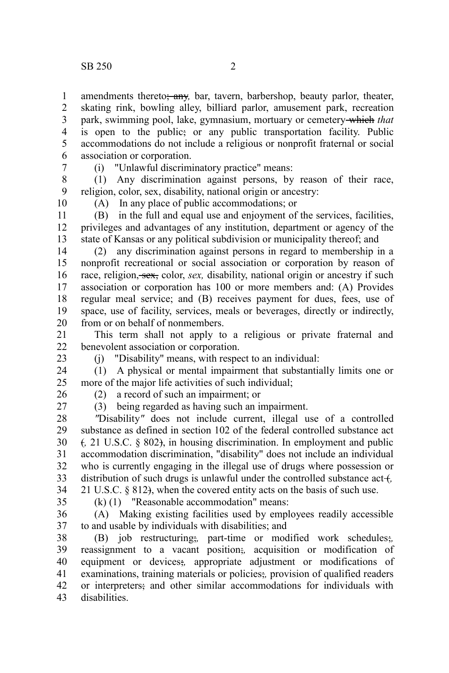amendments thereto<del>; any</del>, bar, tavern, barbershop, beauty parlor, theater, skating rink, bowling alley, billiard parlor, amusement park, recreation park, swimming pool, lake, gymnasium, mortuary or cemetery which *that* is open to the public; or any public transportation facility. Public accommodations do not include a religious or nonprofit fraternal or social association or corporation. 1 2 3 4 5 6

7

(i) "Unlawful discriminatory practice" means:

(1) Any discrimination against persons, by reason of their race, religion, color, sex, disability, national origin or ancestry: 8 9

10

(A) In any place of public accommodations; or

(B) in the full and equal use and enjoyment of the services, facilities, privileges and advantages of any institution, department or agency of the state of Kansas or any political subdivision or municipality thereof; and 11 12 13

(2) any discrimination against persons in regard to membership in a nonprofit recreational or social association or corporation by reason of race, religion, sex, color, *sex*, disability, national origin or ancestry if such association or corporation has 100 or more members and: (A) Provides regular meal service; and (B) receives payment for dues, fees, use of space, use of facility, services, meals or beverages, directly or indirectly, from or on behalf of nonmembers. 14 15 16 17 18 19 20

This term shall not apply to a religious or private fraternal and benevolent association or corporation. 21 22

23

(j) "Disability" means, with respect to an individual:

(1) A physical or mental impairment that substantially limits one or more of the major life activities of such individual; 24 25

26

(2) a record of such an impairment; or

27

(3) being regarded as having such an impairment. *"*Disability*"* does not include current, illegal use of a controlled

substance as defined in section 102 of the federal controlled substance act (*,* 21 U.S.C. § 802), in housing discrimination. In employment and public accommodation discrimination, "disability" does not include an individual who is currently engaging in the illegal use of drugs where possession or distribution of such drugs is unlawful under the controlled substance act +, 21 U.S.C. § 812), when the covered entity acts on the basis of such use. 28 29 30 31 32 33 34

35

(k) (1) "Reasonable accommodation" means:

(A) Making existing facilities used by employees readily accessible to and usable by individuals with disabilities; and 36 37

(B) job restructuring;*,* part-time or modified work schedules;*,* reassignment to a vacant position;*,* acquisition or modification of equipment or devices;*,* appropriate adjustment or modifications of examinations, training materials or policies;*,* provision of qualified readers or interpreters; and other similar accommodations for individuals with disabilities. 38 39 40 41 42 43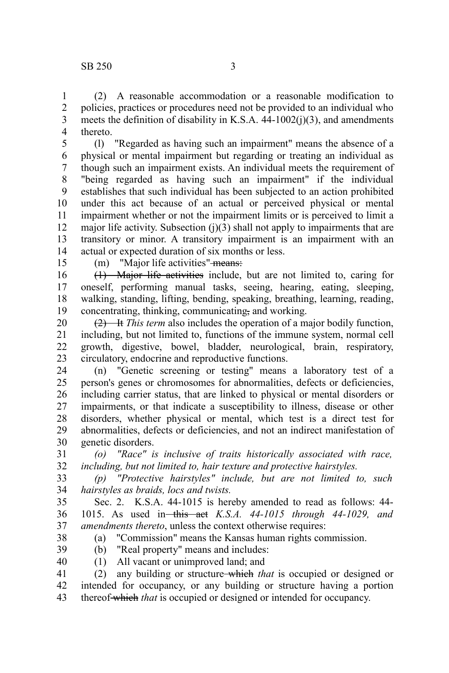(2) A reasonable accommodation or a reasonable modification to policies, practices or procedures need not be provided to an individual who meets the definition of disability in K.S.A. 44-1002(j)(3), and amendments thereto. 1 2 3 4

(l) "Regarded as having such an impairment" means the absence of a physical or mental impairment but regarding or treating an individual as though such an impairment exists. An individual meets the requirement of "being regarded as having such an impairment" if the individual establishes that such individual has been subjected to an action prohibited under this act because of an actual or perceived physical or mental impairment whether or not the impairment limits or is perceived to limit a major life activity. Subsection  $(j)(3)$  shall not apply to impairments that are transitory or minor. A transitory impairment is an impairment with an actual or expected duration of six months or less. 5 6 7 8 9 10 11 12 13 14

15

(m) "Major life activities"-means:

(1) Major life activities include, but are not limited to, caring for oneself, performing manual tasks, seeing, hearing, eating, sleeping, walking, standing, lifting, bending, speaking, breathing, learning, reading, concentrating, thinking, communicating, and working. 16 17 18 19

(2) It *This term* also includes the operation of a major bodily function, including, but not limited to, functions of the immune system, normal cell growth, digestive, bowel, bladder, neurological, brain, respiratory, circulatory, endocrine and reproductive functions. 20 21 22 23

(n) "Genetic screening or testing" means a laboratory test of a person's genes or chromosomes for abnormalities, defects or deficiencies, including carrier status, that are linked to physical or mental disorders or impairments, or that indicate a susceptibility to illness, disease or other disorders, whether physical or mental, which test is a direct test for abnormalities, defects or deficiencies, and not an indirect manifestation of genetic disorders. 24 25 26 27 28 29 30

*(o) "Race" is inclusive of traits historically associated with race, including, but not limited to, hair texture and protective hairstyles.* 31 32

*(p) "Protective hairstyles" include, but are not limited to, such hairstyles as braids, locs and twists.* 33 34

Sec. 2. K.S.A. 44-1015 is hereby amended to read as follows: 44- 1015. As used in this act *K.S.A. 44-1015 through 44-1029, and amendments thereto*, unless the context otherwise requires: 35 36 37

38

- (a) "Commission" means the Kansas human rights commission.
- (b) "Real property" means and includes: 39 40
	- (1) All vacant or unimproved land; and

(2) any building or structure which *that* is occupied or designed or intended for occupancy, or any building or structure having a portion thereof which *that* is occupied or designed or intended for occupancy. 41 42 43